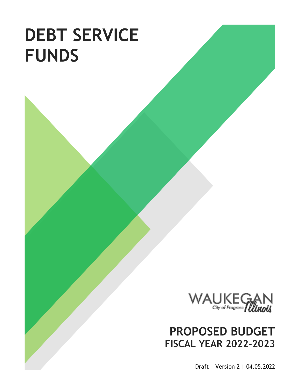# **DEBT SERVICE FUNDS**



## **PROPOSED BUDGET FISCAL YEAR 2022-2023**

Draft | Version 2 | 04.05.2022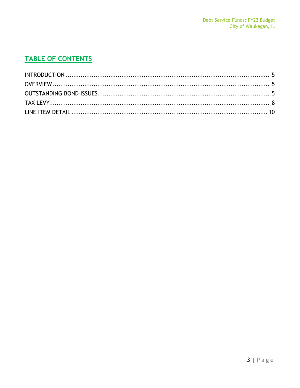## **TABLE OF CONTENTS**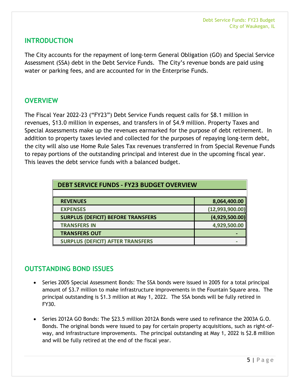### <span id="page-4-0"></span>**INTRODUCTION**

The City accounts for the repayment of long-term General Obligation (GO) and Special Service Assessment (SSA) debt in the Debt Service Funds. The City's revenue bonds are paid using water or parking fees, and are accounted for in the Enterprise Funds.

## <span id="page-4-1"></span>**OVERVIEW**

The Fiscal Year 2022-23 ("FY23") Debt Service Funds request calls for \$8.1 million in revenues, \$13.0 million in expenses, and transfers in of \$4.9 million. Property Taxes and Special Assessments make up the revenues earmarked for the purpose of debt retirement. In addition to property taxes levied and collected for the purposes of repaying long-term debt, the city will also use Home Rule Sales Tax revenues transferred in from Special Revenue Funds to repay portions of the outstanding principal and interest due in the upcoming fiscal year. This leaves the debt service funds with a balanced budget.

| <b>DEBT SERVICE FUNDS - FY23 BUDGET OVERVIEW</b> |                 |  |  |  |  |
|--------------------------------------------------|-----------------|--|--|--|--|
|                                                  |                 |  |  |  |  |
| <b>REVENUES</b>                                  | 8,064,400.00    |  |  |  |  |
| <b>EXPENSES</b>                                  | (12,993,900.00) |  |  |  |  |
| <b>SURPLUS (DEFICIT) BEFORE TRANSFERS</b>        | (4,929,500.00)  |  |  |  |  |
| <b>TRANSFERS IN</b>                              | 4,929,500.00    |  |  |  |  |
| <b>TRANSFERS OUT</b>                             |                 |  |  |  |  |
| <b>SURPLUS (DEFICIT) AFTER TRANSFERS</b>         |                 |  |  |  |  |

## <span id="page-4-2"></span>**OUTSTANDING BOND ISSUES**

- Series 2005 Special Assessment Bonds: The SSA bonds were issued in 2005 for a total principal amount of \$3.7 million to make infrastructure improvements in the Fountain Square area. The principal outstanding is \$1.3 million at May 1, 2022. The SSA bonds will be fully retired in FY30.
- Series 2012A GO Bonds: The \$23.5 million 2012A Bonds were used to refinance the 2003A G.O. Bonds. The original bonds were issued to pay for certain property acquisitions, such as right-ofway, and infrastructure improvements. The principal outstanding at May 1, 2022 is \$2.8 million and will be fully retired at the end of the fiscal year.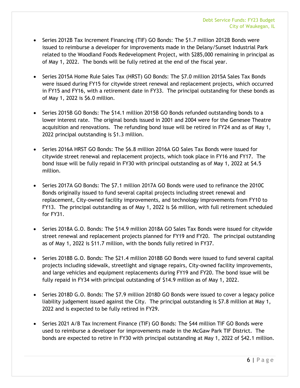- Series 2012B Tax Increment Financing (TIF) GO Bonds: The \$1.7 million 2012B Bonds were issued to reimburse a developer for improvements made in the Delany/Sunset Industrial Park related to the Woodland Foods Redevelopment Project, with \$285,000 remaining in principal as of May 1, 2022. The bonds will be fully retired at the end of the fiscal year.
- Series 2015A Home Rule Sales Tax (HRST) GO Bonds: The \$7.0 million 2015A Sales Tax Bonds were issued during FY15 for citywide street renewal and replacement projects, which occurred in FY15 and FY16, with a retirement date in FY33. The principal outstanding for these bonds as of May 1, 2022 is \$6.0 million.
- Series 2015B GO Bonds: The \$14.1 million 2015B GO Bonds refunded outstanding bonds to a lower interest rate. The original bonds issued in 2001 and 2004 were for the Genesee Theatre acquisition and renovations. The refunding bond issue will be retired in FY24 and as of May 1, 2022 principal outstanding is \$1.3 million.
- Series 2016A HRST GO Bonds: The \$6.8 million 2016A GO Sales Tax Bonds were issued for citywide street renewal and replacement projects, which took place in FY16 and FY17. The bond issue will be fully repaid in FY30 with principal outstanding as of May 1, 2022 at \$4.5 million.
- Series 2017A GO Bonds: The \$7.1 million 2017A GO Bonds were used to refinance the 2010C Bonds originally issued to fund several capital projects including street renewal and replacement, City-owned facility improvements, and technology improvements from FY10 to FY13. The principal outstanding as of May 1, 2022 is \$6 million, with full retirement scheduled for FY31.
- Series 2018A G.O. Bonds: The \$14.9 million 2018A GO Sales Tax Bonds were issued for citywide street renewal and replacement projects planned for FY19 and FY20. The principal outstanding as of May 1, 2022 is \$11.7 million, with the bonds fully retired in FY37.
- Series 2018B G.O. Bonds: The \$21.4 million 2018B GO Bonds were issued to fund several capital projects including sidewalk, streetlight and signage repairs, City-owned facility improvements, and large vehicles and equipment replacements during FY19 and FY20. The bond issue will be fully repaid in FY34 with principal outstanding of \$14.9 million as of May 1, 2022.
- Series 2018D G.O. Bonds: The \$7.9 million 2018D GO Bonds were issued to cover a legacy police liability judgement issued against the City. The principal outstanding is \$7.8 million at May 1, 2022 and is expected to be fully retired in FY29.
- Series 2021 A/B Tax Increment Finance (TIF) GO Bonds: The \$44 million TIF GO Bonds were used to reimburse a developer for improvements made in the McGaw Park TIF District. The bonds are expected to retire in FY30 with principal outstanding at May 1, 2022 of \$42.1 million.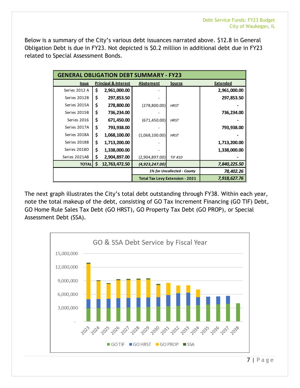Below is a summary of the City's various debt issuances narrated above. \$12.8 in General Obligation Debt is due in FY23. Not depicted is \$0.2 million in additional debt due in FY23 related to Special Assessment Bonds.

| <b>GENERAL OBLIGATION DEBT SUMMARY - FY23</b> |    |                                 |                             |                                        |                 |  |  |  |
|-----------------------------------------------|----|---------------------------------|-----------------------------|----------------------------------------|-----------------|--|--|--|
| <b>Issue</b>                                  |    | <b>Principal &amp; Interest</b> | <b>Abatement</b>            | <b>Source</b>                          | <b>Extended</b> |  |  |  |
| Series 2012 A                                 | \$ | 2,961,000.00                    |                             |                                        | 2,961,000.00    |  |  |  |
| Series 2012B                                  | \$ | 297,853.50                      |                             |                                        | 297,853.50      |  |  |  |
| Series 2015A                                  | \$ | 278,800.00                      | (278, 800.00)               | <b>HRST</b>                            |                 |  |  |  |
| Series 2015B                                  | \$ | 736,234.00                      |                             |                                        | 736,234.00      |  |  |  |
| Series 2016                                   | \$ | 671,450.00                      | (671, 450.00)               | <b>HRST</b>                            |                 |  |  |  |
| Series 2017A                                  | \$ | 793,938.00                      |                             |                                        | 793,938.00      |  |  |  |
| Series 2018A                                  | \$ | 1,068,100.00                    | (1,068,100.00)              | <b>HRST</b>                            |                 |  |  |  |
| Series 2018B                                  | \$ | 1,713,200.00                    |                             |                                        | 1,713,200.00    |  |  |  |
| Series 2018D                                  | \$ | 1,338,000.00                    |                             |                                        | 1,338,000.00    |  |  |  |
| Series 2021AB                                 | \$ | 2,904,897.00                    | (2,904,897.00)              | <b>TIF #10</b>                         |                 |  |  |  |
| <b>TOTAL</b>                                  | \$ | 12,763,472.50                   | (4,923,247.00)              |                                        | 7,840,225.50    |  |  |  |
|                                               |    |                                 | 1% for Uncollected - County | 78,402.26                              |                 |  |  |  |
|                                               |    |                                 |                             | <b>Total Tax Levy Extension - 2021</b> | 7,918,627.76    |  |  |  |

The next graph illustrates the City's total debt outstanding through FY38. Within each year, note the total makeup of the debt, consisting of GO Tax Increment Financing (GO TIF) Debt, GO Home Rule Sales Tax Debt (GO HRST), GO Property Tax Debt (GO PROP), or Special Assessment Debt (SSA).



7 | Page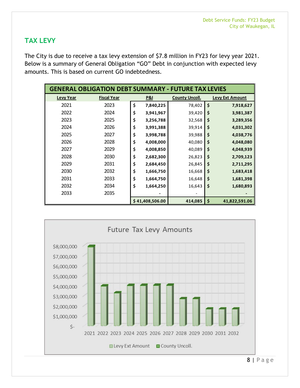## <span id="page-7-0"></span>**TAX LEVY**

The City is due to receive a tax levy extension of \$7.8 million in FY23 for levy year 2021. Below is a summary of General Obligation "GO" Debt in conjunction with expected levy amounts. This is based on current GO indebtedness.

| <b>GENERAL OBLIGATION DEBT SUMMARY - FUTURE TAX LEVIES</b> |                    |    |                 |                       |    |                        |  |
|------------------------------------------------------------|--------------------|----|-----------------|-----------------------|----|------------------------|--|
| <b>Levy Year</b>                                           | <b>Fiscal Year</b> |    | <b>P&amp;I</b>  | <b>County Uncoll.</b> |    | <b>Levy Ext Amount</b> |  |
| 2021                                                       | 2023               | \$ | 7,840,225       | 78,402                | \$ | 7,918,627              |  |
| 2022                                                       | 2024               | \$ | 3,941,967       | 39,420                | \$ | 3,981,387              |  |
| 2023                                                       | 2025               | \$ | 3,256,788       | 32,568                | \$ | 3,289,356              |  |
| 2024                                                       | 2026               | \$ | 3,991,388       | 39,914                | \$ | 4,031,302              |  |
| 2025                                                       | 2027               | \$ | 3,998,788       | 39,988                | \$ | 4,038,776              |  |
| 2026                                                       | 2028               | \$ | 4,008,000       | 40,080                | \$ | 4,048,080              |  |
| 2027                                                       | 2029               | \$ | 4,008,850       | 40,089                | \$ | 4,048,939              |  |
| 2028                                                       | 2030               | \$ | 2,682,300       | 26,823                | \$ | 2,709,123              |  |
| 2029                                                       | 2031               | \$ | 2,684,450       | 26,845                | \$ | 2,711,295              |  |
| 2030                                                       | 2032               | \$ | 1,666,750       | 16,668                | \$ | 1,683,418              |  |
| 2031                                                       | 2033               | \$ | 1,664,750       | 16,648                | \$ | 1,681,398              |  |
| 2032                                                       | 2034               | \$ | 1,664,250       | 16,643                | \$ | 1,680,893              |  |
| 2033                                                       | 2035               |    |                 |                       |    |                        |  |
|                                                            |                    |    | \$41,408,506.00 | 414,085               | \$ | 41,822,591.06          |  |

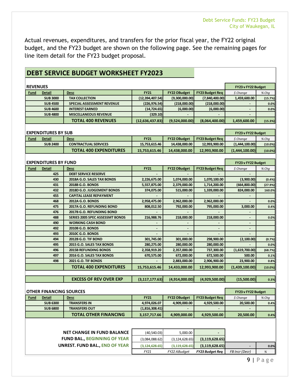Actual revenues, expenditures, and transfers for the prior fiscal year, the FY22 original budget, and the FY23 budget are shown on the following page. See the remaining pages for line item detail for the FY23 budget proposal.

## **DEBT SERVICE BUDGET WORKSHEET FY2023**

| <b>REVENUES</b> |                                |                                        |                   |                |                        | FY23 v FY22 Budget |            |
|-----------------|--------------------------------|----------------------------------------|-------------------|----------------|------------------------|--------------------|------------|
| Fund            | <b>Detail</b>                  | <b>Desc</b>                            | <b>FY21</b>       | FY22 OBudget   | <b>FY23 Budget Req</b> | \$ Change          | % Chq      |
|                 | <b>SUB 3000</b>                | <b>TAX COLLECTION</b>                  | (12, 394, 407.54) | (9,300,000.00) | (7,840,400.00)         | 1,459,600.00       | (15.7%)    |
|                 | <b>SUB 4500</b>                | <b>SPECIAL ASSESSMENT REVENUE</b>      | (226, 976.54)     | (218,000.00)   | (218,000.00)           |                    | 0.0%       |
|                 | <b>SUB 4600</b>                | <b>INTEREST EARNED</b>                 | (14, 724.65)      | (6,000.00)     | (6,000.00)             | $\blacksquare$     | 0.0%       |
|                 | <b>SUB 4800</b>                | <b>MISCELLANEOUS REVENUE</b>           | (329.10)          |                |                        |                    |            |
|                 |                                | <b>TOTAL 400 REVENUES</b>              | (12,636,437.83)   | (9,524,000.00) | (8,064,400.00)         | 1,459,600.00       | (15.3%)    |
|                 |                                |                                        |                   |                |                        |                    |            |
|                 | <b>EXPENDITURES BY SUB</b>     |                                        |                   |                |                        | FY23 v FY22 Budget |            |
| Fund            | <b>Detail</b>                  | Desc                                   | <b>FY21</b>       | FY22 OBudget   | <b>FY23 Budget Req</b> | \$ Change          | % Chq      |
|                 | <b>SUB 2400</b>                | <b>CONTRACTUAL SERVICES</b>            | 15,753,615.46     | 14,438,000.00  | 12,993,900.00          | (1,444,100.00)     | (10.0%)    |
|                 |                                | <b>TOTAL 400 EXPENDITURES</b>          | 15,753,615.46     | 14,438,000.00  | 12,993,900.00          | (1,444,100.00)     | $(10.0\%)$ |
|                 |                                |                                        |                   |                |                        |                    |            |
|                 | <b>EXPENDITURES BY FUND</b>    |                                        |                   |                |                        | FY23 v FY22 Budget |            |
| Fund            | <b>Detail</b>                  | <b>Desc</b>                            | <b>FY21</b>       | FY22 OBudget   | <b>FY23 Budget Req</b> | \$ Change          | % Chg      |
|                 | 425                            | <b>DEBT SERVICE RESERVE</b>            |                   |                |                        |                    |            |
|                 | 430                            | 2018A G.O. SALES TAX BONDS             | 2,226,675.00      | 1,074,000.00   | 1,070,100.00           | (3,900.00)         | (0.4%      |
|                 | 431                            | 2018B G.O. BONDS                       | 5,557,875.00      | 2,379,000.00   | 1,714,200.00           | (664, 800.00)      | (27.9%)    |
|                 | 432                            | 2018D G.O. JUDGEMENT BONDS             | 374,075.00        | 515,000.00     | 1,339,000.00           | 824,000.00         | 160.0%     |
|                 | 455                            | <b>CAPITAL LEASE REPAYMENT</b>         |                   |                |                        |                    |            |
|                 | 468                            | 2012A G.O. BONDS                       | 2,958,475.00      | 2,962,000.00   | 2,962,000.00           |                    | 0.0%       |
|                 | 475                            | 2017A G.O. REFUNDING BOND              | 808,012.50        | 792,000.00     | 795,000.00             | 3,000.00           | 0.4%       |
|                 | 476                            | 2017B G.O. REFUNDING BOND              |                   |                |                        |                    |            |
|                 | 488                            | <b>SERIES 2005 SPEC ASSESSMT BONDS</b> | 216,988.76        | 218,000.00     | 218,000.00             |                    | 0.0%       |
|                 | 490                            | <b>WORKING CASH BOND</b>               |                   |                |                        |                    |            |
|                 | 492                            | 2010B G.O. BONDS                       |                   |                |                        |                    |            |
|                 | 493                            | 2010C G.O. BONDS                       |                   |                |                        |                    |            |
|                 | 494                            | <b>2012B G.O. TIF BOND</b>             | 301,745.00        | 301,000.00     | 298,900.00             | (2,100.00)         | (0.7%)     |
|                 | 495                            | 2015 G.O. SALES TAX BONDS              | 280,275.00        | 280,000.00     | 280,000.00             |                    | 0.0%       |
|                 | 496                            | <b>2015B REFUNDING BONDS</b>           | 2,358,919.20      | 2,357,000.00   | 737,300.00             | (1,619,700.00)     | (68.7%     |
|                 | 497                            | 2016 G.O. SALES TAX BONDS              | 670,575.00        | 672,000.00     | 672,500.00             | 500.00             | 0.1%       |
|                 | 498                            | <b>2021 G.O. TIF BONDS</b>             |                   | 2,883,000.00   | 2,906,900.00           | 23,900.00          | 0.8%       |
|                 |                                | <b>TOTAL 400 EXPENDITURES</b>          | 15,753,615.46     | 14,433,000.00  | 12,993,900.00          | (1,439,100.00)     | $(10.0\%)$ |
|                 |                                |                                        |                   |                |                        |                    |            |
|                 |                                | <b>EXCESS OF REV OVER EXP</b>          | (3, 117, 177.63)  | (4,914,000.00) | (4,929,500.00)         | (15,500.00)        | 0.3%       |
|                 |                                |                                        |                   |                |                        |                    |            |
|                 | <b>OTHER FINANCING SOURCES</b> |                                        |                   |                |                        | FY23 v FY22 Budget |            |

|             | <b>OTHER FINANCING SOURCES</b> | <b>FY23 v FY22 Budget</b>    |                |                          |                        |           |       |
|-------------|--------------------------------|------------------------------|----------------|--------------------------|------------------------|-----------|-------|
| <b>Fund</b> | <b>Detail</b>                  | <b>Desc</b>                  | <b>FY21</b>    | <b>FY22 OBudget</b>      | <b>FY23 Budget Rea</b> | S Chanae  | % Chq |
|             | <b>SUB 6300</b>                | <b>TRANSFERS IN</b>          | 4,974,026.07   | 4.909.000.00             | 4,929,500.00           | 20,500.00 | 0.4%  |
|             | <b>SUB 6800</b>                | <b>TRANSFERS OUT</b>         | (1,816,308.41) | $\overline{\phantom{a}}$ |                        |           |       |
|             |                                | <b>TOTAL OTHER FINANCING</b> | 3.157.717.66   | 4.909.000.00             | 4,929,500.00           | 20,500.00 | 0.4%  |

| NET CHANGE IN FUND BALANCE          | (40, 540.03)     | 5,000.00         | $\overline{\phantom{0}}$ |                |      |
|-------------------------------------|------------------|------------------|--------------------------|----------------|------|
| <b>FUND BAL., BEGINNING OF YEAR</b> | (3,084,088.62)   | (3, 124, 628.65) | (3, 119, 628.65)         |                |      |
| UNREST. FUND BAL., END OF YEAR      | (3, 124, 628.65) | (3, 119, 628.65) | (3, 119, 628.65)         |                | 0.0% |
|                                     | FY21             | FY22 ABudaet     | <b>FY23 Budget Reg</b>   | FB Incr (Decr) | %    |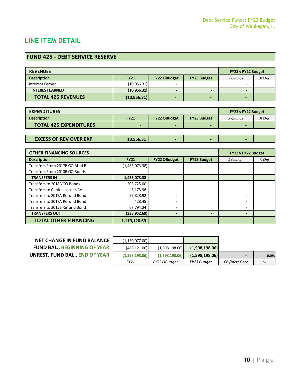## <span id="page-9-0"></span>**LINE ITEM DETAIL**

| <b>FUND 425 - DEBT SERVICE RESERVE</b> |                |                     |                          |                          |       |
|----------------------------------------|----------------|---------------------|--------------------------|--------------------------|-------|
|                                        |                |                     |                          |                          |       |
| <b>REVENUES</b>                        |                |                     |                          | FY23 v FY22 Budget       |       |
| <b>Description</b>                     | <b>FY21</b>    | <b>FY22 OBudget</b> | <b>FY23 Budget</b>       | \$ Change                | % Chq |
| <b>Interest Earned</b>                 | (10, 956.31)   |                     |                          | $\overline{\phantom{a}}$ |       |
| <b>INTEREST EARNED</b>                 | (10, 956.31)   |                     | $\overline{\phantom{a}}$ |                          |       |
| <b>TOTAL 425 REVENUES</b>              | (10,956.31)    |                     |                          | $\overline{\phantom{0}}$ |       |
|                                        |                |                     |                          |                          |       |
| <b>EXPENDITURES</b>                    |                |                     |                          | FY23 v FY22 Budget       |       |
| <b>Description</b>                     | <b>FY21</b>    | <b>FY22 OBudget</b> | <b>FY23 Budget</b>       | \$ Change                | % Chq |
| <b>TOTAL 425 EXPENDITURES</b>          |                |                     |                          |                          |       |
|                                        |                |                     |                          |                          |       |
| <b>EXCESS OF REV OVER EXP</b>          | 10,956.31      |                     |                          |                          |       |
|                                        |                |                     |                          |                          |       |
| <b>OTHER FINANCING SOURCES</b>         |                |                     |                          | FY23 v FY22 Budget       |       |
| <b>Description</b>                     | <b>FY21</b>    | <b>FY22 OBudget</b> | <b>FY23 Budget</b>       | \$ Change                | % Chq |
| Transfers From 2017B GO Rfnd B         | (1,455,073.38) |                     |                          |                          |       |
| Transfers From 2010B GO Bonds          |                |                     |                          |                          |       |
| <b>TRANSFERS IN</b>                    | 1,455,073.38   | $\blacksquare$      | $\overline{\phantom{0}}$ | $\overline{\phantom{a}}$ |       |
| Transfers to 2018B GO Bonds            | 203,725.00     |                     |                          | ٠                        |       |
| Transfers to Capital Leases Re         | 6,175.98       |                     |                          |                          |       |
| Transfers to 2012A Refund Bond         | 57,828.92      |                     |                          |                          |       |
| Transfers to 2017A Refund Bond         | 428.45         |                     |                          |                          |       |
| Transfers to 2015B Refund Bond         | 67,794.34      |                     |                          |                          |       |
| <b>TRANSFERS OUT</b>                   | (335, 952.69)  | $\blacksquare$      | $\overline{\phantom{0}}$ | $\overline{\phantom{a}}$ |       |
| <b>TOTAL OTHER FINANCING</b>           | 1,119,120.69   |                     |                          | $\overline{\phantom{0}}$ |       |

| <b>NET CHANGE IN FUND BALANCE</b>     | (1, 130, 077, 00) |                |                    |                |      |
|---------------------------------------|-------------------|----------------|--------------------|----------------|------|
| <b>FUND BAL., BEGINNING OF YEAR  </b> | (468, 121.06)     | (1,598,198.06) | (1,598,198.06)     |                |      |
| <b>UNREST. FUND BAL., END OF YEAR</b> | (1,598,198.06)    | (1,598,198.06) | (1,598,198.06)     |                | 0.0% |
|                                       | FY21              | FY22 OBudget   | <b>FY23 Budget</b> | FB (Incr) Decr | %    |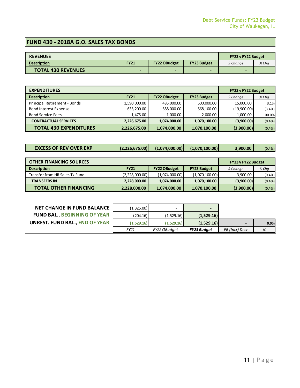## **FUND 430 - 2018A G.O. SALES TAX BONDS**

| <b>REVENUES</b>                       | FY23 v FY22 Budget       |                     |                    |                    |        |
|---------------------------------------|--------------------------|---------------------|--------------------|--------------------|--------|
| <b>Description</b>                    | <b>FY21</b>              | <b>FY22 OBudget</b> | <b>FY23 Budget</b> | \$ Change          | % Chq  |
| <b>TOTAL 430 REVENUES</b>             | $\overline{\phantom{0}}$ |                     |                    |                    |        |
|                                       |                          |                     |                    |                    |        |
| <b>EXPENDITURES</b>                   |                          |                     |                    | FY23 v FY22 Budget |        |
| <b>Description</b>                    | <b>FY21</b>              | FY22 OBudget        | <b>FY23 Budget</b> | $$$ Change         | % Chq  |
| Principal Retirement - Bonds          | 1,590,000.00             | 485.000.00          | 500.000.00         | 15,000.00          | 3.1%   |
| <b>Bond Interest Expense</b>          | 635,200.00               | 588,000.00          | 568,100.00         | (19,900.00)        | (3.4%) |
| <b>Bond Service Fees</b>              | 1,475.00                 | 1,000.00            | 2,000.00           | 1,000.00           | 100.0% |
| <b>CONTRACTUAL SERVICES</b>           | 2,226,675.00             | 1,074,000.00        | 1,070,100.00       | (3,900.00)         | (0.4%  |
| <b>TOTAL 430 EXPENDITURES</b>         | 2,226,675.00             | 1,074,000.00        | 1,070,100.00       | (3,900.00)         | (0.4%  |
|                                       |                          |                     |                    |                    |        |
| <b>EXCESS OF REV OVER EXP</b>         | (2, 226, 675.00)         | (1,074,000.00)      | (1,070,100.00)     | 3,900.00           | (0.4%  |
|                                       |                          |                     |                    |                    |        |
| <b>OTHER FINANCING SOURCES</b>        |                          |                     |                    | FY23 v FY22 Budget |        |
| <b>Description</b>                    | <b>FY21</b>              | <b>FY22 OBudget</b> | <b>FY23 Budget</b> | \$ Change          | % Chq  |
| <b>Transfer from HR Sales Tx Fund</b> | (2,228,000.00)           | (1,074,000.00)      | (1,070,100.00)     | 3,900.00           | (0.4%  |
| <b>TRANSFERS IN</b>                   | 2,228,000.00             | 1,074,000.00        | 1,070,100.00       | (3,900.00)         | (0.4%  |
| <b>TOTAL OTHER FINANCING</b>          | 2,228,000.00             | 1,074,000.00        | 1,070,100.00       | (3,900.00)         | (0.4%  |
|                                       |                          |                     |                    |                    |        |
| <b>NET CHANGE IN FUND BALANCE</b>     | (1,325.00)               |                     |                    |                    |        |
| <b>FUND BAL., BEGINNING OF YEAR</b>   | (204.16)                 | (1,529.16)          | (1,529.16)         |                    |        |
| <b>UNREST. FUND BAL., END OF YEAR</b> | (1,529.16)               | (1,529.16)          | (1,529.16)         |                    | 0.0%   |
|                                       | FY21                     | FY22 OBudget        | <b>FY23 Budget</b> | FB (Incr) Decr     | %      |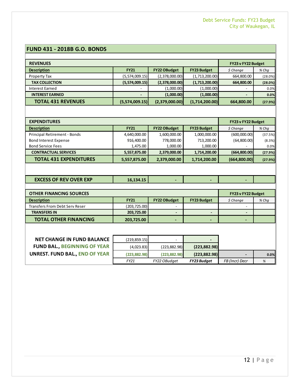#### **FUND 431 - 2018B G.O. BONDS**

| <b>REVENUES</b>           |                |                     |                    | FY23 v FY22 Budget |         |
|---------------------------|----------------|---------------------|--------------------|--------------------|---------|
| <b>Description</b>        | <b>FY21</b>    | <b>FY22 OBudget</b> | <b>FY23 Budget</b> | \$ Change          | % Chq   |
| Property Tax              | (5,574,009.15) | (2,378,000.00)      | (1,713,200.00)     | 664,800.00         | (28.0%) |
| <b>TAX COLLECTION</b>     | (5,574,009.15) | (2,378,000.00)      | (1,713,200.00)     | 664,800.00         | (28.0%) |
| Interest Earned           | ۰              | (1,000.00)          | (1,000.00)         | ۰                  | 0.0%    |
| <b>INTEREST EARNED</b>    |                | (1,000.00)          | (1,000.00)         |                    | 0.0%    |
| <b>TOTAL 431 REVENUES</b> | (5,574,009.15) | (2,379,000.00)      | (1,714,200.00)     | 664,800.00         | (27.9%) |

| <b>EXPENDITURES</b>           | FY23 v FY22 Budget |                     |                    |               |         |
|-------------------------------|--------------------|---------------------|--------------------|---------------|---------|
| <b>Description</b>            | <b>FY21</b>        | <b>FY22 OBudget</b> | <b>FY23 Budget</b> | \$ Change     | % Chq   |
| Principal Retirement - Bonds  | 4,640,000.00       | 1,600,000.00        | 1,000,000.00       | (600,000.00)  | (37.5%) |
| <b>Bond Interest Expense</b>  | 916,400.00         | 778,000.00          | 713,200.00         | (64,800.00)   | (8.3%)  |
| <b>Bond Service Fees</b>      | 1,475.00           | 1,000.00            | 1,000.00           | ۰             | 0.0%    |
| <b>CONTRACTUAL SERVICES</b>   | 5,557,875.00       | 2,379,000.00        | 1,714,200.00       | (664,800.00)  | (27.9%) |
| <b>TOTAL 431 EXPENDITURES</b> | 5,557,875.00       | 2,379,000.00        | 1,714,200.00       | (664, 800.00) | (27.9%) |

| <b>OTHER FINANCING SOURCES</b>        |               |                     |                    |           | FY23 v FY22 Budget |
|---------------------------------------|---------------|---------------------|--------------------|-----------|--------------------|
| <b>Description</b>                    | <b>FY21</b>   | <b>FY22 OBudget</b> | <b>FY23 Budget</b> | \$ Change | $%$ Cha            |
| <b>Transfers From Debt Serv Reser</b> | (203, 725.00) |                     |                    | -         |                    |
| <b>TRANSFERS IN</b>                   | 203,725.00    |                     |                    |           |                    |
| <b>TOTAL OTHER FINANCING</b>          | 203,725.00    | . .                 | -                  |           |                    |

| <b>NET CHANGE IN FUND BALANCE</b>   | (219, 859.15) |               |                    |                |      |
|-------------------------------------|---------------|---------------|--------------------|----------------|------|
| <b>FUND BAL., BEGINNING OF YEAR</b> | (4,023.83)    | (223, 882.98) | (223,882.98)       |                |      |
| UNREST. FUND BAL., END OF YEAR      | (223.882.98)  | (223.882.98)  | (223.882.98)       |                | 0.0% |
|                                     | FY21          | FY22 OBudget  | <b>FY23 Budget</b> | FB (Incr) Decr |      |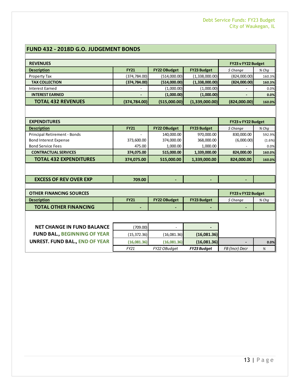#### **FUND 432 - 2018D G.O. JUDGEMENT BONDS**

| <b>REVENUES</b>                                    |               |                                   |                                  | FY23 v FY22 Budget       |                 |
|----------------------------------------------------|---------------|-----------------------------------|----------------------------------|--------------------------|-----------------|
| <b>Description</b>                                 | <b>FY21</b>   | <b>FY22 OBudget</b>               | <b>FY23 Budget</b>               | \$ Change                | % Chq           |
| <b>Property Tax</b>                                | (374, 784.00) | (514,000.00)                      | (1,338,000.00)                   | (824,000.00)             | 160.3%          |
| <b>TAX COLLECTION</b>                              | (374, 784.00) | (514,000.00)                      | (1,338,000.00)                   | (824,000.00)             | 160.3%          |
| <b>Interest Earned</b>                             |               | (1,000.00)                        | (1,000.00)                       |                          | 0.0%            |
| <b>INTEREST EARNED</b>                             |               | (1,000.00)                        | (1,000.00)                       |                          | 0.0%            |
| <b>TOTAL 432 REVENUES</b>                          | (374, 784.00) | (515,000.00)                      | (1,339,000.00)                   | (824,000.00)             | 160.0%          |
|                                                    |               |                                   |                                  |                          |                 |
| <b>EXPENDITURES</b>                                |               |                                   |                                  | FY23 v FY22 Budget       |                 |
|                                                    | <b>FY21</b>   |                                   |                                  |                          |                 |
| <b>Description</b><br>Principal Retirement - Bonds |               | <b>FY22 OBudget</b><br>140,000.00 | <b>FY23 Budget</b><br>970,000.00 | $$$ Change<br>830,000.00 | % Chq<br>592.9% |
| <b>Bond Interest Expense</b>                       | 373,600.00    | 374,000.00                        | 368,000.00                       | (6,000.00)               | (1.6%)          |
| <b>Bond Service Fees</b>                           | 475.00        | 1,000.00                          | 1,000.00                         |                          | 0.0%            |
| <b>CONTRACTUAL SERVICES</b>                        | 374,075.00    | 515,000.00                        | 1,339,000.00                     | 824,000.00               | 160.0%          |
| <b>TOTAL 432 EXPENDITURES</b>                      | 374,075.00    | 515,000.00                        | 1,339,000.00                     | 824,000.00               | 160.0%          |
|                                                    |               |                                   |                                  |                          |                 |
|                                                    |               |                                   |                                  |                          |                 |
| <b>EXCESS OF REV OVER EXP</b>                      | 709.00        |                                   |                                  |                          |                 |
|                                                    |               |                                   |                                  |                          |                 |
| <b>OTHER FINANCING SOURCES</b>                     |               |                                   |                                  | FY23 v FY22 Budget       |                 |
| <b>Description</b>                                 | <b>FY21</b>   | <b>FY22 OBudget</b>               | <b>FY23 Budget</b>               | $$$ Change               | % Chq           |
| <b>TOTAL OTHER FINANCING</b>                       |               |                                   |                                  |                          |                 |
|                                                    |               |                                   |                                  |                          |                 |
|                                                    |               |                                   |                                  |                          |                 |
| <b>NET CHANGE IN FUND BALANCE</b>                  | (709.00)      |                                   |                                  |                          |                 |
| <b>FUND BAL., BEGINNING OF YEAR</b>                | (15, 372.36)  | (16,081.36)                       | (16,081.36)                      |                          |                 |
| <b>UNREST. FUND BAL., END OF YEAR</b>              | (16,081.36)   | (16,081.36)                       | (16,081.36)                      |                          | 0.0%            |
|                                                    | FY21          | FY22 OBudget                      | <b>FY23 Budget</b>               | FB (Incr) Decr           | %               |
|                                                    |               |                                   |                                  |                          |                 |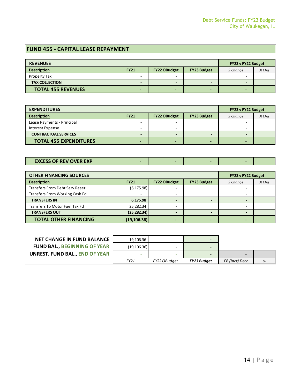#### **FUND 455 - CAPITAL LEASE REPAYMENT**

| <b>REVENUES</b>           |                          |                     |                          |            | FY23 v FY22 Budget |
|---------------------------|--------------------------|---------------------|--------------------------|------------|--------------------|
| <b>Description</b>        | <b>FY21</b>              | <b>FY22 OBudget</b> | <b>FY23 Budget</b>       | $$$ Change | % Chq              |
| Property Tax              | -                        |                     |                          |            |                    |
| <b>TAX COLLECTION</b>     | -                        |                     |                          |            |                    |
| <b>TOTAL 455 REVENUES</b> | $\overline{\phantom{a}}$ |                     | $\overline{\phantom{0}}$ |            |                    |
|                           |                          |                     |                          |            |                    |

| <b>EXPENDITURES</b>           |                          |                     |                    | FY23 v FY22 Budget       |       |
|-------------------------------|--------------------------|---------------------|--------------------|--------------------------|-------|
| <b>Description</b>            | <b>FY21</b>              | <b>FY22 OBudget</b> | <b>FY23 Budget</b> | \$ Change                | % Chq |
| Lease Payments - Principal    | $\overline{\phantom{0}}$ |                     |                    | $\overline{\phantom{0}}$ |       |
| Interest Expense              | $\overline{\phantom{a}}$ | <b>_</b>            |                    | $\overline{\phantom{0}}$ |       |
| <b>CONTRACTUAL SERVICES</b>   | -                        |                     | -                  | -                        |       |
| <b>TOTAL 455 EXPENDITURES</b> | $\overline{\phantom{a}}$ |                     | -                  | -                        |       |
|                               |                          |                     |                    |                          |       |

| <b>EXCESS OF REV OVER EXP</b> |  |  |  |
|-------------------------------|--|--|--|
|                               |  |  |  |

| <b>OTHER FINANCING SOURCES</b>        | FY23 v FY22 Budget |                     |                    |           |       |
|---------------------------------------|--------------------|---------------------|--------------------|-----------|-------|
| <b>Description</b>                    | <b>FY21</b>        | <b>FY22 OBudget</b> | <b>FY23 Budget</b> | \$ Change | % Chq |
| <b>Transfers From Debt Serv Reser</b> | (6, 175.98)        |                     |                    |           |       |
| Transfers From Working Cash Fd        | ۰                  | -                   |                    | ۰         |       |
| <b>TRANSFERS IN</b>                   | 6,175.98           |                     |                    |           |       |
| Transfers To Motor Fuel Tax Fd        | 25,282.34          |                     |                    |           |       |
| <b>TRANSFERS OUT</b>                  | (25, 282.34)       |                     |                    |           |       |
| <b>TOTAL OTHER FINANCING</b>          | (19, 106.36)       |                     |                    |           |       |

| <b>NET CHANGE IN FUND BALANCE</b>     | 19,106.36   |              |                    |                |  |
|---------------------------------------|-------------|--------------|--------------------|----------------|--|
| <b>FUND BAL., BEGINNING OF YEAR</b>   | (19,106.36) |              |                    |                |  |
| <b>UNREST. FUND BAL., END OF YEAR</b> |             |              |                    |                |  |
|                                       | FY21        | FY22 OBudget | <b>FY23 Budget</b> | FB (Incr) Decr |  |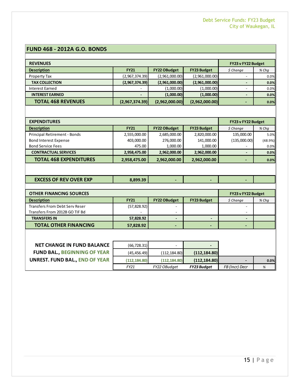#### **FUND 468 - 2012A G.O. BONDS**

| <b>REVENUES</b>           |                          |                     |                    | FY23 v FY22 Budget       |       |
|---------------------------|--------------------------|---------------------|--------------------|--------------------------|-------|
| <b>Description</b>        | <b>FY21</b>              | <b>FY22 OBudget</b> | <b>FY23 Budget</b> | \$ Change                | % Chg |
| Property Tax              | (2,967,374.39)           | (2,961,000.00)      | (2,961,000.00)     | ۰                        | 0.0%  |
| <b>TAX COLLECTION</b>     | (2,967,374.39)           | (2,961,000.00)      | (2,961,000.00)     | $\overline{\phantom{0}}$ | 0.0%  |
| Interest Earned           |                          | (1,000.00)          | (1,000.00)         |                          | 0.0%  |
| <b>INTEREST EARNED</b>    | $\overline{\phantom{0}}$ | (1,000.00)          | (1,000.00)         |                          | 0.0%  |
| <b>TOTAL 468 REVENUES</b> | (2,967,374.39)           | (2,962,000.00)      | (2,962,000.00)     | -                        | 0.0%  |

| <b>EXPENDITURES</b>           | FY23 v FY22 Budget |                     |                    |                          |         |
|-------------------------------|--------------------|---------------------|--------------------|--------------------------|---------|
| <b>Description</b>            | <b>FY21</b>        | <b>FY22 OBudget</b> | <b>FY23 Budget</b> | \$ Change                | % Chg   |
| Principal Retirement - Bonds  | 2,555,000.00       | 2,685,000.00        | 2,820,000.00       | 135,000.00               | 5.0%    |
| <b>Bond Interest Expense</b>  | 403,000.00         | 276,000.00          | 141,000.00         | (135,000.00)             | (48.9%) |
| <b>Bond Service Fees</b>      | 475.00             | 1,000.00            | 1,000.00           |                          | 0.0%    |
| <b>CONTRACTUAL SERVICES</b>   | 2,958,475.00       | 2,962,000.00        | 2,962,000.00       | $\overline{\phantom{0}}$ | 0.0%    |
| <b>TOTAL 468 EXPENDITURES</b> | 2,958,475.00       | 2,962,000.00        | 2,962,000.00       | -                        | 0.0%    |

| <b>EXCESS OF REV OVER EXP</b> | 8.899.39 |  |  |  |
|-------------------------------|----------|--|--|--|
|-------------------------------|----------|--|--|--|

| <b>OTHER FINANCING SOURCES</b>        |                          |                     |                          | FY23 v FY22 Budget |         |
|---------------------------------------|--------------------------|---------------------|--------------------------|--------------------|---------|
| <b>Description</b>                    | <b>FY21</b>              | <b>FY22 OBudget</b> | <b>FY23 Budget</b>       | \$ Change          | $%$ Cha |
| <b>Transfers From Debt Serv Reser</b> | (57,828.92)              |                     |                          | -                  |         |
| Transfers From 2012B GO TIF Bd        | $\overline{\phantom{a}}$ |                     |                          | -                  |         |
| <b>TRANSFERS IN</b>                   | 57,828.92                |                     | $\overline{\phantom{0}}$ |                    |         |
| <b>TOTAL OTHER FINANCING</b>          | 57,828.92                |                     |                          |                    |         |

| <b>NET CHANGE IN FUND BALANCE</b>   | (66, 728.31) |              |                    |                |      |
|-------------------------------------|--------------|--------------|--------------------|----------------|------|
| <b>FUND BAL., BEGINNING OF YEAR</b> | (45, 456.49) | (112.184.80) | (112, 184.80)      |                |      |
| UNREST. FUND BAL., END OF YEAR      | (112.184.80) | (112.184.80) | (112.184.80)       |                | 0.0% |
|                                     | FY21         | FY22 OBudget | <b>FY23 Budget</b> | FB (Incr) Decr |      |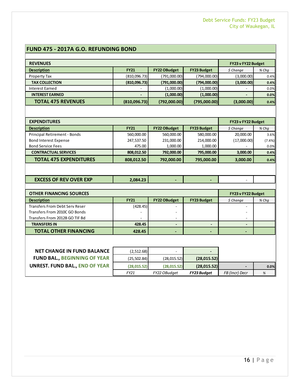#### **FUND 475 - 2017A G.O. REFUNDING BOND**

| <b>REVENUES</b>           |              |                     |                    | FY23 v FY22 Budget |         |
|---------------------------|--------------|---------------------|--------------------|--------------------|---------|
| <b>Description</b>        | <b>FY21</b>  | <b>FY22 OBudget</b> | <b>FY23 Budget</b> | \$ Change          | $%$ Chq |
| Property Tax              | (810,096.73) | (791,000.00)        | (794,000.00)       | (3,000.00)         | 0.4%    |
| <b>TAX COLLECTION</b>     | (810,096.73) | (791,000.00)        | (794,000.00)       | (3,000.00)         | 0.4%    |
| Interest Earned           | -            | (1,000.00)          | (1,000.00)         |                    | 0.0%    |
| <b>INTEREST EARNED</b>    |              | (1,000.00)          | (1,000.00)         |                    | 0.0%    |
| <b>TOTAL 475 REVENUES</b> | (810,096.73) | (792,000.00)        | (795,000.00)       | (3,000.00)         | 0.4%    |

| <b>EXPENDITURES</b>                 |             |                     |                    | FY23 v FY22 Budget |         |
|-------------------------------------|-------------|---------------------|--------------------|--------------------|---------|
| <b>Description</b>                  | <b>FY21</b> | <b>FY22 OBudget</b> | <b>FY23 Budget</b> | \$ Change          | % Chq   |
| <b>Principal Retirement - Bonds</b> | 560,000.00  | 560,000.00          | 580,000.00         | 20,000.00          | 3.6%    |
| <b>Bond Interest Expense</b>        | 247,537.50  | 231,000.00          | 214,000.00         | (17,000.00)        | (7.4% ) |
| <b>Bond Service Fees</b>            | 475.00      | 1,000.00            | 1,000.00           |                    | 0.0%    |
| <b>CONTRACTUAL SERVICES</b>         | 808.012.50  | 792,000.00          | 795,000.00         | 3,000.00           | 0.4%    |
| <b>TOTAL 475 EXPENDITURES</b>       | 808,012.50  | 792,000.00          | 795,000.00         | 3,000.00           | 0.4%    |

| <b>EXCESS OF REV OVER EXP</b><br>2.084.23 |  |
|-------------------------------------------|--|
|-------------------------------------------|--|

| <b>OTHER FINANCING SOURCES</b>        |                          |                     |                    | FY23 v FY22 Budget |         |
|---------------------------------------|--------------------------|---------------------|--------------------|--------------------|---------|
| <b>Description</b>                    | <b>FY21</b>              | <b>FY22 OBudget</b> | <b>FY23 Budget</b> | $$$ Change         | $%$ Cha |
| <b>Transfers From Debt Serv Reser</b> | (428.45)                 |                     |                    |                    |         |
| Transfers From 2010C GO Bonds         | $\overline{\phantom{a}}$ |                     |                    |                    |         |
| Transfers From 2012B GO TIF Bd        | ۰                        |                     |                    |                    |         |
| <b>TRANSFERS IN</b>                   | 428.45                   |                     |                    |                    |         |
| <b>TOTAL OTHER FINANCING</b>          | 428.45                   |                     |                    |                    |         |

| <b>NET CHANGE IN FUND BALANCE</b>     | (2,512.68)   |              |                    |                |      |
|---------------------------------------|--------------|--------------|--------------------|----------------|------|
| <b>FUND BAL., BEGINNING OF YEAR</b>   | (25, 502.84) | (28, 015.52) | (28,015.52)        |                |      |
| <b>UNREST. FUND BAL., END OF YEAR</b> | (28.015.52)  | (28,015.52)  | (28,015.52)        |                | 0.0% |
|                                       | FY21         | FY22 OBudget | <b>FY23 Budget</b> | FB (Incr) Decr | %    |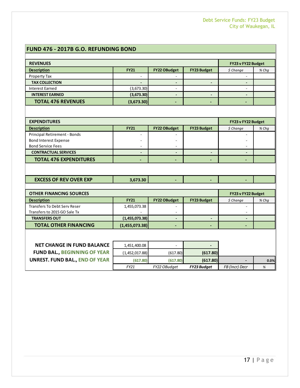#### **FUND 476 - 2017B G.O. REFUNDING BOND**

| <b>REVENUES</b>                       |                          |                          |                          | FY23 v FY22 Budget           |       |
|---------------------------------------|--------------------------|--------------------------|--------------------------|------------------------------|-------|
| <b>Description</b>                    | <b>FY21</b>              | FY22 OBudget             | FY23 Budget              | \$ Change                    | % Chq |
| Property Tax                          | ÷,                       |                          |                          |                              |       |
| <b>TAX COLLECTION</b>                 |                          |                          |                          |                              |       |
| <b>Interest Earned</b>                | (3,673.30)               | $\overline{\phantom{a}}$ |                          | $\frac{1}{2}$                |       |
| <b>INTEREST EARNED</b>                | (3,673.30)               | $\blacksquare$           | $\overline{\phantom{a}}$ | $\overline{\phantom{m}}$     |       |
| <b>TOTAL 476 REVENUES</b>             | (3,673.30)               | $\blacksquare$           | $\blacksquare$           | $\overline{\phantom{a}}$     |       |
|                                       |                          |                          |                          |                              |       |
| <b>EXPENDITURES</b>                   |                          |                          |                          | FY23 v FY22 Budget           |       |
| <b>Description</b>                    | <b>FY21</b>              | <b>FY22 OBudget</b>      | <b>FY23 Budget</b>       | \$ Change                    | % Chq |
| Principal Retirement - Bonds          | $\overline{\phantom{a}}$ |                          |                          | ÷.                           |       |
| <b>Bond Interest Expense</b>          |                          |                          |                          |                              |       |
| <b>Bond Service Fees</b>              | $\overline{a}$           |                          |                          | $\qquad \qquad \blacksquare$ |       |
| <b>CONTRACTUAL SERVICES</b>           | $\overline{\phantom{a}}$ | $\overline{\phantom{a}}$ | $\overline{\phantom{a}}$ | $\qquad \qquad \blacksquare$ |       |
| <b>TOTAL 476 EXPENDITURES</b>         | $\overline{\phantom{0}}$ |                          |                          | $\blacksquare$               |       |
|                                       |                          |                          |                          |                              |       |
| <b>EXCESS OF REV OVER EXP</b>         | 3,673.30                 |                          |                          |                              |       |
|                                       |                          |                          |                          |                              |       |
| <b>OTHER FINANCING SOURCES</b>        |                          |                          |                          | FY23 v FY22 Budget           |       |
| <b>Description</b>                    | <b>FY21</b>              | <b>FY22 OBudget</b>      | <b>FY23 Budget</b>       | \$ Change                    | % Chq |
| Transfers To Debt Serv Reser          | 1,455,073.38             |                          |                          |                              |       |
| Transfers to 2015 GO Sale Tx          |                          |                          |                          |                              |       |
| <b>TRANSFERS OUT</b>                  | (1,455,073.38)           | $\overline{\phantom{a}}$ | ٠                        | -                            |       |
| <b>TOTAL OTHER FINANCING</b>          | (1,455,073.38)           |                          |                          |                              |       |
|                                       |                          |                          |                          |                              |       |
| <b>NET CHANGE IN FUND BALANCE</b>     | 1,451,400.08             |                          |                          |                              |       |
|                                       |                          |                          |                          |                              |       |
| <b>FUND BAL., BEGINNING OF YEAR</b>   | (1,452,017.88)           | (617.80)                 | (617.80)                 |                              |       |
| <b>UNREST. FUND BAL., END OF YEAR</b> | (617.80)                 | (617.80)                 | (617.80)                 |                              | 0.0%  |
|                                       | FY21                     | FY22 OBudget             | FY23 Budget              | FB (Incr) Decr               | $\%$  |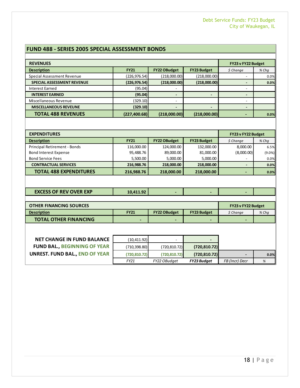#### **FUND 488 - SERIES 2005 SPECIAL ASSESSMENT BONDS**

| <b>REVENUES</b>                   |               |                          |                          | FY23 v FY22 Budget       |         |
|-----------------------------------|---------------|--------------------------|--------------------------|--------------------------|---------|
| <b>Description</b>                | <b>FY21</b>   | <b>FY22 OBudget</b>      | <b>FY23 Budget</b>       | \$ Change                | $%$ Chq |
| Special Assessment Revenue        | (226,976.54)  | (218,000.00)             | (218,000.00)             | -                        | 0.0%    |
| <b>SPECIAL ASSESSMENT REVENUE</b> | (226, 976.54) | (218,000.00)             | (218,000.00)             |                          | 0.0%    |
| Interest Earned                   | (95.04)       |                          |                          | ۰                        |         |
| <b>INTEREST EARNED</b>            | (95.04)       |                          | -                        | $\overline{\phantom{0}}$ |         |
| Miscellaneous Revenue             | (329.10)      |                          |                          | ۰                        |         |
| <b>MISCELLANEOUS REVEUNE</b>      | (329.10)      | $\overline{\phantom{0}}$ | $\overline{\phantom{0}}$ |                          |         |
| <b>TOTAL 488 REVENUES</b>         | (227, 400.68) | (218,000.00)             | (218,000.00)             |                          | 0.0%    |

| <b>EXPENDITURES</b>           |             |                     |                    | FY23 v FY22 Budget       |           |
|-------------------------------|-------------|---------------------|--------------------|--------------------------|-----------|
| <b>Description</b>            | <b>FY21</b> | <b>FY22 OBudget</b> | <b>FY23 Budget</b> | \$ Change                | $%$ Cha   |
| Principal Retirement - Bonds  | 116,000.00  | 124,000.00          | 132,000.00         | 8,000.00                 | 6.5%      |
| <b>Bond Interest Expense</b>  | 95,488.76   | 89,000.00           | 81,000.00          | (8,000.00)               | $(9.0\%)$ |
| <b>Bond Service Fees</b>      | 5,500.00    | 5,000.00            | 5,000.00           | $\overline{\phantom{a}}$ | 0.0%      |
| <b>CONTRACTUAL SERVICES</b>   | 216,988.76  | 218,000.00          | 218,000.00         | $\overline{\phantom{0}}$ | 0.0%      |
| <b>TOTAL 488 EXPENDITURES</b> | 216,988.76  | 218,000.00          | 218,000.00         | $\blacksquare$           | 0.0%      |

| <b>EXCESS OF REV OVER EXP</b> | 10.411.92 |  |  |
|-------------------------------|-----------|--|--|
|                               |           |  |  |

| <b>OTHER FINANCING SOURCES</b> |             |                     |                    |          | <b>FY23 v FY22 Budget</b> |  |
|--------------------------------|-------------|---------------------|--------------------|----------|---------------------------|--|
| <b>Description</b>             | <b>FY21</b> | <b>FY22 OBudget</b> | <b>FY23 Budget</b> | S Chanae | % Cha                     |  |
| <b>TOTAL OTHER FINANCING</b>   | -           |                     | -                  |          |                           |  |

| <b>NET CHANGE IN FUND BALANCE</b>   | (10, 411.92)  |               |                    |                |      |
|-------------------------------------|---------------|---------------|--------------------|----------------|------|
| <b>FUND BAL., BEGINNING OF YEAR</b> | (710, 398.80) | (720, 810.72) | (720, 810.72)      |                |      |
| UNREST. FUND BAL., END OF YEAR      | (720.810.72)  | (720.810.72)  | (720, 810.72)      |                | 0.0% |
|                                     | FY21          | FY22 OBudget  | <b>FY23 Budget</b> | FB (Incr) Decr | %    |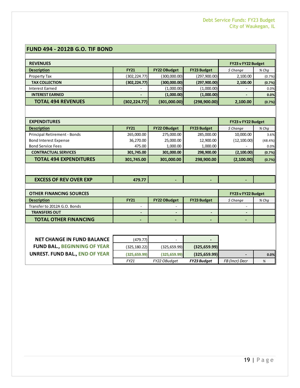#### **FUND 494 - 2012B G.O. TIF BOND**

| <b>REVENUES</b>           |               |                     |                    | FY23 v FY22 Budget |        |
|---------------------------|---------------|---------------------|--------------------|--------------------|--------|
| <b>Description</b>        | <b>FY21</b>   | <b>FY22 OBudget</b> | <b>FY23 Budget</b> | \$ Change          | % Chq  |
| Property Tax              | (302,224.77)  | (300,000.00)        | (297,900.00)       | 2,100.00           | (0.7%) |
| <b>TAX COLLECTION</b>     | (302, 224.77) | (300,000.00)        | (297,900.00)       | 2,100.00           | (0.7%) |
| Interest Earned           | ۰             | (1,000.00)          | (1,000.00)         | ۰                  | 0.0%   |
| <b>INTEREST EARNED</b>    |               | (1,000.00)          | (1,000.00)         |                    | 0.0%   |
| <b>TOTAL 494 REVENUES</b> | (302, 224.77) | (301,000.00)        | (298,900.00)       | 2,100.00           | (0.7%) |

| <b>EXPENDITURES</b>           |             |                     |                    | FY23 v FY22 Budget |         |
|-------------------------------|-------------|---------------------|--------------------|--------------------|---------|
| <b>Description</b>            | <b>FY21</b> | <b>FY22 OBudget</b> | <b>FY23 Budget</b> | \$ Change          | % Chq   |
| Principal Retirement - Bonds  | 265,000.00  | 275,000.00          | 285,000.00         | 10,000.00          | 3.6%    |
| <b>Bond Interest Expense</b>  | 36,270.00   | 25,000.00           | 12,900.00          | (12, 100.00)       | (48.4%) |
| <b>Bond Service Fees</b>      | 475.00      | 1,000.00            | 1,000.00           |                    | 0.0%    |
| <b>CONTRACTUAL SERVICES</b>   | 301,745.00  | 301,000.00          | 298,900.00         | (2,100.00)         | (0.7%)  |
| <b>TOTAL 494 EXPENDITURES</b> | 301,745.00  | 301,000.00          | 298,900.00         | (2,100.00)         | (0.7%)  |

| <b>EXCESS OF REV OVER EXP</b> | 479.77 I |  |  |  |
|-------------------------------|----------|--|--|--|
|-------------------------------|----------|--|--|--|

| <b>OTHER FINANCING SOURCES</b> |                          |                     |                    | FY23 v FY22 Budget |         |
|--------------------------------|--------------------------|---------------------|--------------------|--------------------|---------|
| <b>Description</b>             | <b>FY21</b>              | <b>FY22 OBudget</b> | <b>FY23 Budget</b> | \$ Change          | $%$ Chq |
| Transfer to 2012A G.O. Bonds   | $\overline{\phantom{a}}$ |                     |                    | -                  |         |
| <b>TRANSFERS OUT</b>           | $\overline{\phantom{0}}$ |                     |                    |                    |         |
| <b>TOTAL OTHER FINANCING</b>   | $\blacksquare$           |                     |                    |                    |         |

| <b>NET CHANGE IN FUND BALANCE</b>   | (479.77)      |               |                    |                |      |
|-------------------------------------|---------------|---------------|--------------------|----------------|------|
| <b>FUND BAL., BEGINNING OF YEAR</b> | (325, 180.22) | (325, 659.99) | (325, 659.99)      |                |      |
| UNREST. FUND BAL., END OF YEAR      | (325.659.99)  | (325.659.99)  | (325.659.99)       |                | 0.0% |
|                                     | FY21          | FY22 OBudget  | <b>FY23 Budget</b> | FB (Incr) Decr |      |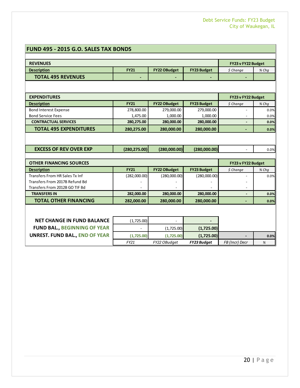#### **FUND 495 - 2015 G.O. SALES TAX BONDS**

| <b>REVENUES</b>                       |               |                     |                    | FY23 v FY22 Budget |                      |
|---------------------------------------|---------------|---------------------|--------------------|--------------------|----------------------|
| <b>Description</b>                    | <b>FY21</b>   | <b>FY22 OBudget</b> | <b>FY23 Budget</b> | \$ Change          | % Chq                |
| <b>TOTAL 495 REVENUES</b>             |               |                     |                    |                    |                      |
|                                       |               |                     |                    |                    |                      |
| <b>EXPENDITURES</b>                   |               |                     |                    | FY23 v FY22 Budget |                      |
| <b>Description</b>                    | <b>FY21</b>   | <b>FY22 OBudget</b> | <b>FY23 Budget</b> | \$ Change          | % Chq                |
| <b>Bond Interest Expense</b>          | 278,800.00    | 279,000.00          | 279,000.00         |                    | 0.0%                 |
| <b>Bond Service Fees</b>              | 1,475.00      | 1,000.00            | 1,000.00           |                    | 0.0%                 |
| <b>CONTRACTUAL SERVICES</b>           | 280,275.00    | 280,000.00          | 280,000.00         |                    | 0.0%                 |
| <b>TOTAL 495 EXPENDITURES</b>         | 280,275.00    | 280,000.00          | 280,000.00         |                    | 0.0%                 |
| <b>EXCESS OF REV OVER EXP</b>         |               |                     |                    | $\sim$             |                      |
|                                       | (280, 275.00) | (280,000.00)        | (280,000.00)       |                    |                      |
|                                       |               |                     |                    |                    |                      |
| <b>OTHER FINANCING SOURCES</b>        |               |                     |                    | FY23 v FY22 Budget |                      |
| <b>Description</b>                    | <b>FY21</b>   | <b>FY22 OBudget</b> | <b>FY23 Budget</b> | \$ Change          | % Chq                |
| Transfers From HR Sales Tx Inf        | (282,000.00)  | (280,000.00)        | (280,000.00)       |                    |                      |
| Transfers From 2017B Refund Bd        |               |                     |                    |                    |                      |
| Transfers From 2012B GO TIF Bd        |               |                     |                    |                    |                      |
| <b>TRANSFERS IN</b>                   | 282,000.00    | 280,000.00          | 280,000.00         |                    | 0.0%<br>0.0%<br>0.0% |
| <b>TOTAL OTHER FINANCING</b>          | 282,000.00    | 280.000.00          | 280.000.00         |                    | 0.0%                 |
|                                       |               |                     |                    |                    |                      |
|                                       |               |                     |                    |                    |                      |
| <b>NET CHANGE IN FUND BALANCE</b>     | (1,725.00)    |                     |                    |                    |                      |
| <b>FUND BAL., BEGINNING OF YEAR</b>   |               | (1,725.00)          | (1,725.00)         |                    |                      |
| <b>UNREST. FUND BAL., END OF YEAR</b> | (1,725.00)    | (1,725.00)          | (1,725.00)         |                    | 0.0%                 |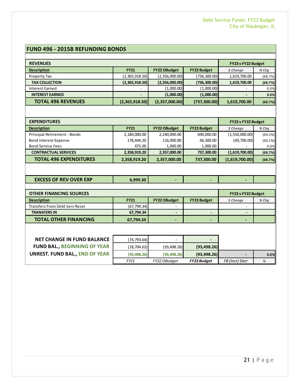#### **FUND 496 - 2015B REFUNDING BONDS**

| <b>REVENUES</b>           |                          |                     |                    | FY23 v FY22 Budget |         |
|---------------------------|--------------------------|---------------------|--------------------|--------------------|---------|
| <b>Description</b>        | <b>FY21</b>              | <b>FY22 OBudget</b> | <b>FY23 Budget</b> | \$ Change          | $%$ Chq |
| Property Tax              | (2,365,918.50)           | (2,356,000.00)      | (736,300.00)       | 1,619,700.00       | (68.7%) |
| <b>TAX COLLECTION</b>     | (2,365,918.50)           | (2,356,000.00)      | (736, 300.00)      | 1,619,700.00       | (68.7%) |
| Interest Earned           | $\overline{\phantom{a}}$ | (1,000.00)          | (1,000.00)         | -                  | 0.0%    |
| <b>INTEREST EARNED</b>    | $\overline{\phantom{a}}$ | (1,000.00)          | (1,000.00)         |                    | 0.0%    |
| <b>TOTAL 496 REVENUES</b> | (2,365,918.50)           | (2,357,000.00)      | (737, 300.00)      | 1,619,700.00       | (68.7%) |

| <b>EXPENDITURES</b>           | FY23 v FY22 Budget |                     |                    |                          |         |
|-------------------------------|--------------------|---------------------|--------------------|--------------------------|---------|
| <b>Description</b>            | <b>FY21</b>        | <b>FY22 OBudget</b> | <b>FY23 Budget</b> | \$ Change                | % Chq   |
| Principal Retirement - Bonds  | 2,180,000.00       | 2,240,000.00        | 690,000.00         | (1,550,000.00)           | (69.2%) |
| <b>Bond Interest Expense</b>  | 178,444.20         | 116,000.00          | 46,300.00          | (69,700.00)              | (60.1%) |
| <b>Bond Service Fees</b>      | 475.00             | 1,000.00            | 1,000.00           | $\overline{\phantom{a}}$ | 0.0%    |
| <b>CONTRACTUAL SERVICES</b>   | 2,358,919.20       | 2,357,000.00        | 737,300.00         | (1,619,700.00)           | (68.7%) |
| <b>TOTAL 496 EXPENDITURES</b> | 2,358,919.20       | 2,357,000.00        | 737,300.00         | (1,619,700.00)           | (68.7%) |

| <b>EXCESS OF REV OVER EXP</b> | 6.999.30 |  |  |  |
|-------------------------------|----------|--|--|--|
|-------------------------------|----------|--|--|--|

| <b>OTHER FINANCING SOURCES</b>        |              |                     |                    |            | FY23 v FY22 Budget |
|---------------------------------------|--------------|---------------------|--------------------|------------|--------------------|
| <b>Description</b>                    | <b>FY21</b>  | <b>FY22 OBudget</b> | <b>FY23 Budget</b> | $$$ Change | $%$ Chq            |
| <b>Transfers From Debt Serv Reser</b> | (67, 794.34) | -                   |                    | -          |                    |
| <b>TRANSFERS IN</b>                   | 67,794.34    |                     |                    |            |                    |
| <b>TOTAL OTHER FINANCING</b>          | 67,794.34    | . .                 | -                  |            |                    |

| <b>NET CHANGE IN FUND BALANCE</b>   | (74,793.64)  |              |                    |                |      |
|-------------------------------------|--------------|--------------|--------------------|----------------|------|
| <b>FUND BAL., BEGINNING OF YEAR</b> | (18,704.62)  | (93, 498.26) | (93, 498.26)       |                |      |
| UNREST. FUND BAL., END OF YEAR      | (93, 498.26) | (93, 498.26) | (93, 498.26)       |                | 0.0% |
|                                     | FY21         | FY22 OBudget | <b>FY23 Budget</b> | FB (Incr) Decr |      |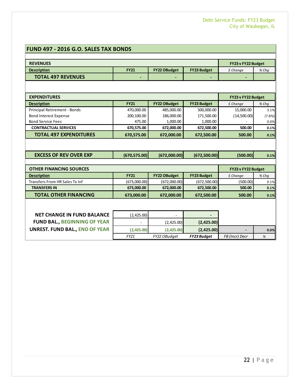#### **FUND 497 - 2016 G.O. SALES TAX BONDS**

| <b>REVENUES</b>                       | FY23 v FY22 Budget |                     |                    |                    |                      |
|---------------------------------------|--------------------|---------------------|--------------------|--------------------|----------------------|
| <b>Description</b>                    | <b>FY21</b>        | <b>FY22 OBudget</b> | <b>FY23 Budget</b> | \$ Change          | % Chq                |
| <b>TOTAL 497 REVENUES</b>             |                    |                     |                    |                    |                      |
|                                       |                    |                     |                    |                    |                      |
| <b>EXPENDITURES</b>                   | FY23 v FY22 Budget |                     |                    |                    |                      |
| <b>Description</b>                    | <b>FY21</b>        | <b>FY22 OBudget</b> | <b>FY23 Budget</b> | \$ Change          | % Cha                |
| Principal Retirement - Bonds          | 470,000.00         | 485,000.00          | 500,000.00         | 15,000.00          | 3.1%                 |
| <b>Bond Interest Expense</b>          | 200,100.00         | 186,000.00          | 171,500.00         | (14,500.00)        | (7.8%)               |
| <b>Bond Service Fees</b>              | 475.00             | 1.000.00            | 1.000.00           |                    | 0.0%                 |
| <b>CONTRACTUAL SERVICES</b>           | 670,575.00         | 672,000.00          | 672,500.00         | 500.00             | 0.1%                 |
|                                       |                    |                     |                    | 500.00             | 0.1%                 |
| <b>TOTAL 497 EXPENDITURES</b>         | 670,575.00         | 672.000.00          | 672,500.00         |                    |                      |
| <b>EXCESS OF REV OVER EXP</b>         | (670, 575.00)      | (672,000.00)        | (672,500.00)       | (500.00)           |                      |
| <b>OTHER FINANCING SOURCES</b>        |                    |                     |                    | FY23 v FY22 Budget |                      |
| <b>Description</b>                    | <b>FY21</b>        | <b>FY22 OBudget</b> | <b>FY23 Budget</b> | \$ Change          | % Chq                |
| Transfers From HR Sales Tx Inf        | (673,000.00)       | (672,000.00)        | (672, 500.00)      | (500.00)           |                      |
| <b>TRANSFERS IN</b>                   | 673,000.00         | 672,000.00          | 672,500.00         | 500.00             | 0.1%<br>0.1%<br>0.1% |
| <b>TOTAL OTHER FINANCING</b>          | 673,000.00         | 672,000.00          | 672,500.00         | 500.00             | 0.1%                 |
|                                       |                    |                     |                    |                    |                      |
| <b>NET CHANGE IN FUND BALANCE</b>     | (2,425.00)         |                     |                    |                    |                      |
| <b>FUND BAL., BEGINNING OF YEAR</b>   |                    | (2,425.00)          | (2,425.00)         |                    |                      |
| <b>UNREST. FUND BAL., END OF YEAR</b> | (2,425.00)         | (2,425.00)          | (2,425.00)         |                    | 0.0%                 |